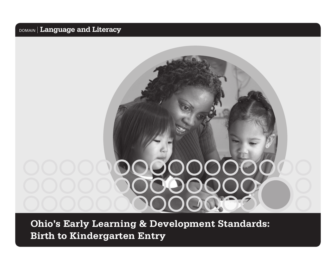# **Ohio's Early Learning & Development Standards: Birth to Kindergarten Entry**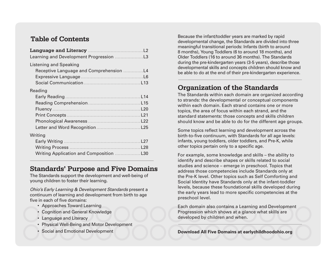### **Table of Contents**

| $\overline{2}$              |
|-----------------------------|
| L <sub>3</sub>              |
| L4<br>L6<br>L <sub>13</sub> |
|                             |
| L <sub>14</sub>             |
| L <sub>15</sub>             |
| L20                         |
| L21                         |
| L22                         |
| L25                         |
|                             |
| L27                         |
| L28                         |
| L30                         |
|                             |

### **Standards' Purpose and Five Domains**

The Standards support the development and well-being of young children to foster their learning.

*Ohio's Early Learning & Development Standards* present a continuum of learning and development from birth to age five in each of five domains:

- Approaches Toward Learning
- Cognition and General Knowledge
- Language and Literacy
- Physical Well-Being and Motor Development
- Social and Emotional Development

Because the infant/toddler years are marked by rapid developmental change, the Standards are divided into three meaningful transitional periods: Infants (birth to around 8 months), Young Toddlers (6 to around 18 months), and Older Toddlers (16 to around 36 months). The Standards during the pre-kindergarten years (3-5 years), describe those developmental skills and concepts children should know and be able to do at the end of their pre-kindergarten experience.

### **Organization of the Standards**

The Standards within each domain are organized according to strands: the developmental or conceptual components within each domain. Each strand contains one or more topics, the area of focus within each strand, and the standard statements: those concepts and skills children should know and be able to do for the different age groups.

Some topics reflect learning and development across the birth-to-five continuum, with Standards for all age levels: infants, young toddlers, older toddlers, and Pre-K, while other topics pertain only to a specific age.

For example, some knowledge and skills – the ability to identify and describe shapes or skills related to social studies and science – emerge in preschool. Topics that address those competencies include Standards only at the Pre-K level. Other topics such as Self Comforting and Social Identity have Standards only at the infant-toddler levels, because these foundational skills developed during the early years lead to more specific competencies at the preschool level.

Each domain also contains a Learning and Development Progression which shows at a glance what skills are developed by children and when.

**Download All Five Domains at earlychildhoodohio.org**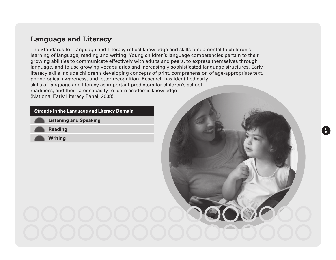### **Language and Literacy**

The Standards for Language and Literacy reflect knowledge and skills fundamental to children's learning of language, reading and writing. Young children's language competencies pertain to their growing abilities to communicate effectively with adults and peers, to express themselves through language, and to use growing vocabularies and increasingly sophisticated language structures. Early literacy skills include children's developing concepts of print, comprehension of age-appropriate text, phonological awareness, and letter recognition. Research has identified early skills of language and literacy as important predictors for children's school readiness, and their later capacity to learn academic knowledge (National Early Literacy Panel, 2008).

**L 2**

#### **Strands in the Language and Literacy Domain**

**Listening and Speaking** 

**Reading**

**Writing**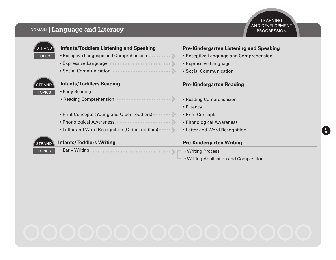| <b>STRAND</b> | <b>Infants/Toddlers Listening and Speaking</b>  | <b>Pre-Kindergarten Listening and Speaking</b> |
|---------------|-------------------------------------------------|------------------------------------------------|
| <b>TOPICS</b> | • Receptive Language and Comprehension •<br>. 3 | • Receptive Language and Comprehension         |
|               |                                                 | • Expressive Language                          |
|               |                                                 | • Social Communication                         |
| <b>STRAND</b> | <b>Infants/Toddlers Reading</b>                 | <b>Pre-Kindergarten Reading</b>                |
| <b>TOPICS</b> | • Early Reading                                 |                                                |
|               |                                                 | • Reading Comprehension                        |
|               |                                                 | • Fluency                                      |
|               | • Print Concepts (Young and Older Toddlers)     | • Print Concepts                               |
|               |                                                 | • Phonological Awareness                       |
|               | • Letter and Word Recognition (Older Toddlers)  | • Letter and Word Recognition                  |
| <b>STRAND</b> | <b>Infants/Toddlers Writing</b>                 | <b>Pre-Kindergarten Writing</b>                |
| <b>TOPICS</b> | • Early Writing                                 | • Writing Process                              |
|               |                                                 | • Writing Application and Composition          |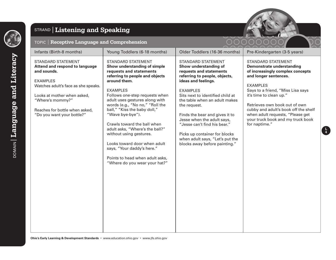

### STRAND **Listening and Speaking**



#### TOPIC **Receptive Language and Comprehension**

| TOPIC   Receptive Language and Comprehension |                              | UUUUUUUU<br>$\bigcap_{n=1}^{\infty} \bigcap_{n=1}^{\infty} \bigcap_{n=1}^{\infty} \bigcap_{n=1}^{\infty} \bigcap_{n=1}^{\infty} \bigcap_{n=1}^{\infty} \bigcap_{n=1}^{\infty} \bigcap_{n=1}^{\infty} \bigcap_{n=1}^{\infty} \bigcap_{n=1}^{\infty} \bigcap_{n=1}^{\infty} \bigcap_{n=1}^{\infty} \bigcap_{n=1}^{\infty} \bigcap_{n=1}^{\infty} \bigcap_{n=1}^{\infty} \bigcap_{n=1}^{\infty} \bigcap_{n=1}^{\infty$ |                              |  |
|----------------------------------------------|------------------------------|---------------------------------------------------------------------------------------------------------------------------------------------------------------------------------------------------------------------------------------------------------------------------------------------------------------------------------------------------------------------------------------------------------------------|------------------------------|--|
| Infants (Birth-8 months)                     | Young Toddlers (6-18 months) | Older Toddlers (16-36 months)                                                                                                                                                                                                                                                                                                                                                                                       | Pre-Kindergarten (3-5 years) |  |

STANDARD STATEMENT **Demonstrate understanding of increasingly complex concepts and longer sentences.** 

Retrieves own book out of own helf when adult requests, "Please get your truck book and my truck book for naptime."

| <b>STANDARD STATEMENT</b>           | <b>STANDARD STATEMENT</b>       | <b>STANDARD STATEMENT</b>        | <b>STANDARD STATEMENT</b>         |
|-------------------------------------|---------------------------------|----------------------------------|-----------------------------------|
| Attend and respond to language      | Show understanding of simple    | Show understanding of            | <b>Demonstrate understanding</b>  |
| and sounds.                         | requests and statements         | requests and statements          | of increasingly complex concept   |
|                                     | referring to people and objects | referring to people, objects,    | and longer sentences.             |
| <b>EXAMPLES</b>                     | around them.                    | ideas and feelings.              |                                   |
| Watches adult's face as she speaks. |                                 |                                  | <b>EXAMPLES</b>                   |
|                                     | <b>EXAMPLES</b>                 | <b>EXAMPLES</b>                  | Says to a friend, "Miss Lisa says |
| Looks at mother when asked,         | Follows one-step requests when  | Sits next to identified child at | it's time to clean up."           |
| "Where's mommy?"                    | adult uses gestures along with  | the table when an adult makes    |                                   |
|                                     | words (e.g., "No no," "Roll the | the request.                     | Retrieves own book out of own     |
| Reaches for bottle when asked,      | ball," "Kiss the baby doll,"    |                                  | cubby and adult's book off the sl |
| "Do you want your bottle?"          | "Wave bye-bye").                | Finds the bear and gives it to   | when adult requests, "Please ge   |
|                                     |                                 | Jesse when the adult says,       | your truck book and my truck bo   |
|                                     | Crawls toward the ball when     | "Jesse can't find his bear."     | for naptime."                     |
|                                     | adult asks, "Where's the ball?" |                                  |                                   |
|                                     | without using gestures.         | Picks up container for blocks    |                                   |
|                                     |                                 | when adult says, "Let's put the  |                                   |
|                                     | Looks toward door when adult    | blocks away before painting."    |                                   |
|                                     | says, "Your daddy's here."      |                                  |                                   |
|                                     |                                 |                                  |                                   |
|                                     | Points to head when adult asks, |                                  |                                   |
|                                     | "Where do you wear your hat?"   |                                  |                                   |
|                                     |                                 |                                  |                                   |
|                                     |                                 |                                  |                                   |
|                                     |                                 |                                  |                                   |
|                                     |                                 |                                  |                                   |
|                                     |                                 |                                  |                                   |
|                                     |                                 |                                  |                                   |
|                                     |                                 |                                  |                                   |
|                                     |                                 |                                  |                                   |
|                                     |                                 |                                  |                                   |
|                                     |                                 |                                  |                                   |
|                                     |                                 |                                  |                                   |
|                                     |                                 |                                  |                                   |
|                                     |                                 |                                  |                                   |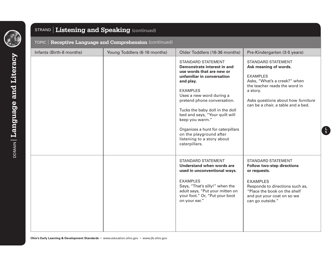

### STRAND **Listening and Speaking** (continued)

| <code>TOPIC</code> $\mid$ <code>Receptive Language and Comprehension</code> (continued) $\mid$ |  |
|------------------------------------------------------------------------------------------------|--|
|                                                                                                |  |

| Infants (Birth-8 months) | Young Toddlers (6-18 months) | Older Toddlers (16-36 months)                                                                                                                                                                                                                                                                                                                                                                                         | Pre-Kindergarten (3-5 years)                                                                                                                                                                                                   |
|--------------------------|------------------------------|-----------------------------------------------------------------------------------------------------------------------------------------------------------------------------------------------------------------------------------------------------------------------------------------------------------------------------------------------------------------------------------------------------------------------|--------------------------------------------------------------------------------------------------------------------------------------------------------------------------------------------------------------------------------|
|                          |                              | <b>STANDARD STATEMENT</b><br>Demonstrate interest in and<br>use words that are new or<br>unfamiliar in conversation<br>and play.<br><b>EXAMPLES</b><br>Uses a new word during a<br>pretend phone conversation.<br>Tucks the baby doll in the doll<br>bed and says, "Your quilt will<br>keep you warm."<br>Organizes a hunt for caterpillars<br>on the playground after<br>listening to a story about<br>caterpillars. | <b>STANDARD STATEMENT</b><br>Ask meaning of words.<br><b>EXAMPLES</b><br>Asks, "What's a creek?" when<br>the teacher reads the word in<br>a story.<br>Asks questions about how furniture<br>can be a chair, a table and a bed. |
|                          |                              | <b>STANDARD STATEMENT</b><br>Understand when words are<br>used in unconventional ways.<br><b>EXAMPLES</b><br>Says, "That's silly!" when the<br>adult says, "Put your mitten on<br>your foot." Or, "Put your boot<br>on your ear."                                                                                                                                                                                     | <b>STANDARD STATEMENT</b><br><b>Follow two-step directions</b><br>or requests.<br><b>EXAMPLES</b><br>Responds to directions such as,<br>"Place the book on the shelf<br>and put your coat on so we<br>can go outside."         |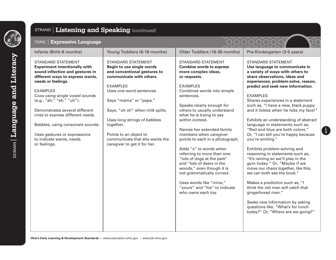

 $_{\textrm{DOMAN}}$  Language and Literacy DOMAIN **Language and Literacy**

#### STRAND **Listening and Speaking** (continued) TOPIC **Expressive Language** Infants (Birth-8 months) | Young Toddlers (6-18 months) | Older Toddlers (16-36 months) | Pre-Kindergarten (3-5 years) STANDARD STATEMENT **Experiment intentionally with**  sound inflection and gestures in **different ways to express wants, needs or feelings.** EXAMPLES Coos using single vowel sounds (e.g., "ah," "eh," "uh"). Demonstrates several different cries to express different needs. Babbles, using consonant sounds. Uses gestures or expressions to indicate wants, needs or feelings. STANDARD STATEMENT **Begin to use single words and conventional gestures to communicate with others.** EXAMPLES Uses one-word sentences. Says "mama" or "papa." Says, "uh oh" when milk spills. Uses long strings of babbles together. Points to an object to communicate that she wants the caregiver to get it for her. STANDARD STATEMENT **Combine words to express more complex ideas, or requests.** EXAMPLES Combines words into simple sentences. Speaks clearly enough for others to usually understand what he is trying to say within context. Names her extended family members when caregiver points to each in a photograph. Adds "s" to words when referring to more than one: "lots of dogs at the park" and "lots of deers in the woods," even though it is not grammatically correct. Uses words like "mine,"

**Use language to communicate in a variety of ways with others to share observations, ideas and experiences; problem-solve, reason, predict and seek new information.** EXAMPLES Shares experiences in a statement such as, "I have a new, black puppy and it tickles when he licks my face!" Exhibits an understanding of abstract language in statements such as, "Red and blue are both colors." Or, "I can tell you're happy because you're smiling."

STANDARD STATEMENT

**L 6**

Exhibits problem-solving and reasoning in statements such as, "It's raining so we'll play in the gym today." Or, "Maybe if we move our chairs together, like this, we can both see the book."

Makes a prediction such as, "I think the old man will catch that gingerbread man."

"yours" and "his" to indicate

who owns each toy.

Seeks new information by asking questions like, "What's for lunch today?" Or, "Where are we going?"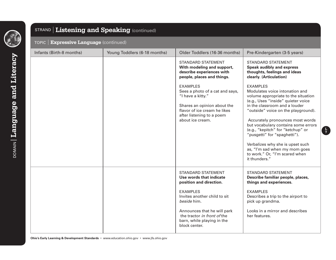

### STRAND **Listening and Speaking** (continued)

#### TOPIC **Expressive Language** (continued)

| Infants (Birth-8 months) | Young Toddlers (6-18 months) | Older Toddlers (16-36 months)                                                                                                                                                                                                                                  | Pre-Kindergarten (3-5 years)                                                                                                                                                                                                                                                                                                                                                                                                                                                   |
|--------------------------|------------------------------|----------------------------------------------------------------------------------------------------------------------------------------------------------------------------------------------------------------------------------------------------------------|--------------------------------------------------------------------------------------------------------------------------------------------------------------------------------------------------------------------------------------------------------------------------------------------------------------------------------------------------------------------------------------------------------------------------------------------------------------------------------|
|                          |                              | <b>STANDARD STATEMENT</b><br>With modeling and support,<br>describe experiences with<br>people, places and things.                                                                                                                                             | <b>STANDARD STATEMENT</b><br><b>Speak audibly and express</b><br>thoughts, feelings and ideas<br>clearly. (Articulation)                                                                                                                                                                                                                                                                                                                                                       |
|                          |                              | <b>EXAMPLES</b><br>Sees a photo of a cat and says,<br>"I have a kitty."<br>Shares an opinion about the<br>flavor of ice cream he likes<br>after listening to a poem<br>about ice cream.                                                                        | <b>EXAMPLES</b><br>Modulates voice intonation and<br>volume appropriate to the situation<br>(e.g., Uses "inside" quieter voice<br>in the classroom and a louder<br>"outside" voice on the playground).<br>Accurately pronounces most words<br>but vocabulary contains some errors<br>(e.g., "kepitch" for "ketchup" or<br>"pusgetti" for "spaghetti").<br>Verbalizes why she is upset such<br>as, "I'm sad when my mom goes<br>to work." Or, "I'm scared when<br>it thunders." |
|                          |                              | <b>STANDARD STATEMENT</b><br>Use words that indicate<br>position and direction.<br><b>FXAMPLES</b><br>Invites another child to sit<br>beside him.<br>Announces that he will park<br>the tractor in front of the<br>barn, while playing in the<br>block center. | <b>STANDARD STATEMENT</b><br>Describe familiar people, places,<br>things and experiences.<br><b>EXAMPLES</b><br>Describes a trip to the airport to<br>pick up grandma.<br>Looks in a mirror and describes<br>her features.                                                                                                                                                                                                                                                     |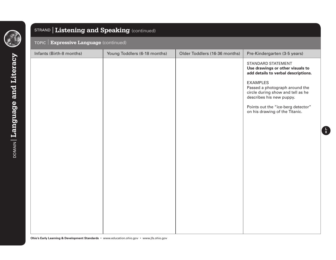

### STRAND **Listening and Speaking** (continued)

#### TOPIC **Expressive Language** (continued)

| Infants (Birth-8 months) | Young Toddlers (6-18 months) | Older Toddlers (16-36 months) | Pre-Kindergarten (3-5 years)                                                                                                                                                            |
|--------------------------|------------------------------|-------------------------------|-----------------------------------------------------------------------------------------------------------------------------------------------------------------------------------------|
|                          |                              |                               | STANDARD STATEMENT<br>Use drawings or other visuals to<br>add details to verbal descriptions.<br><b>EXAMPLES</b><br>Passed a photograph around the<br>circle during show and tell as he |
|                          |                              |                               | describes his new puppy.                                                                                                                                                                |
|                          |                              |                               | Points out the "ice-berg detector"<br>on his drawing of the Titanic.                                                                                                                    |
|                          |                              |                               |                                                                                                                                                                                         |
|                          |                              |                               |                                                                                                                                                                                         |
|                          |                              |                               |                                                                                                                                                                                         |
|                          |                              |                               |                                                                                                                                                                                         |
|                          |                              |                               |                                                                                                                                                                                         |
|                          |                              |                               |                                                                                                                                                                                         |
|                          |                              |                               |                                                                                                                                                                                         |
|                          |                              |                               |                                                                                                                                                                                         |
|                          |                              |                               |                                                                                                                                                                                         |
|                          |                              |                               |                                                                                                                                                                                         |
|                          |                              |                               |                                                                                                                                                                                         |
|                          |                              |                               |                                                                                                                                                                                         |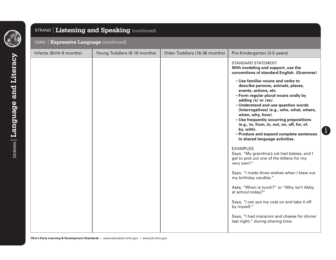

### STRAND **Listening and Speaking** (continued)

#### TOPIC **Expressive Language** (continued)

| Infants (Birth-8 months) | Young Toddlers (6-18 months) | Older Toddlers (16-36 months) | Pre-Kindergarten (3-5 years)<br><b>STANDARD STATEMENT</b><br>With modeling and support, use the<br>conventions of standard English. (Grammar)<br>• Use familiar nouns and verbs to<br>describe persons, animals, places,<br>events, actions, etc.<br>• Form regular plural nouns orally by<br>adding /s/ or /es/.<br>• Understand and use question words<br>(interrogatives) (e.g., who, what, where,<br>when, why, how).<br>• Use frequently occurring prepositions<br>(e.g., to, from, in, out, on, off, for, of,<br>by, with).<br>• Produce and expand complete sentences<br>in shared language activities. |
|--------------------------|------------------------------|-------------------------------|----------------------------------------------------------------------------------------------------------------------------------------------------------------------------------------------------------------------------------------------------------------------------------------------------------------------------------------------------------------------------------------------------------------------------------------------------------------------------------------------------------------------------------------------------------------------------------------------------------------|
|                          |                              |                               | <b>EXAMPLES</b><br>Says, "My grandma's cat had babies, and I<br>get to pick out one of the kittens for my<br>very own!"                                                                                                                                                                                                                                                                                                                                                                                                                                                                                        |
|                          |                              |                               | Says, "I made three wishes when I blew out<br>my birthday candles."<br>Asks, "When is lunch?" or "Why isn't Abby<br>at school today?"                                                                                                                                                                                                                                                                                                                                                                                                                                                                          |
|                          |                              |                               | Says, "I can put my coat on and take it off<br>by myself."<br>Says, "I had macaroni and cheese for dinner<br>last night," during sharing time.                                                                                                                                                                                                                                                                                                                                                                                                                                                                 |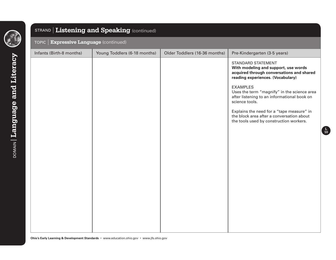

### STRAND **Listening and Speaking** (continued)

#### TOPIC **Expressive Language** (continued)

| Infants (Birth-8 months) | Young Toddlers (6-18 months) | Older Toddlers (16-36 months) | Pre-Kindergarten (3-5 years)                                                                                                                        |
|--------------------------|------------------------------|-------------------------------|-----------------------------------------------------------------------------------------------------------------------------------------------------|
|                          |                              |                               | <b>STANDARD STATEMENT</b><br>With modeling and support, use words<br>acquired through conversations and shared<br>reading experiences. (Vocabulary) |
|                          |                              |                               | <b>EXAMPLES</b><br>Uses the term "magnify" in the science area<br>after listening to an informational book on<br>science tools.                     |
|                          |                              |                               | Explains the need for a "tape measure" in<br>the block area after a conversation about<br>the tools used by construction workers.                   |
|                          |                              |                               |                                                                                                                                                     |
|                          |                              |                               |                                                                                                                                                     |
|                          |                              |                               |                                                                                                                                                     |
|                          |                              |                               |                                                                                                                                                     |
|                          |                              |                               |                                                                                                                                                     |

**L 10**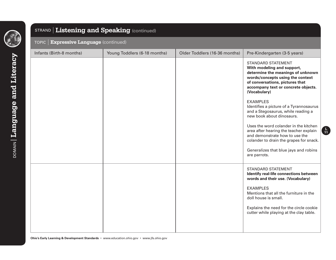

### STRAND **Listening and Speaking** (continued)

#### TOPIC **Expressive Language** (continued)

| Infants (Birth-8 months) | Young Toddlers (6-18 months) | Older Toddlers (16-36 months) | Pre-Kindergarten (3-5 years)                                                                                                                                                                                                                                                                                                                                                                                                                                                     |
|--------------------------|------------------------------|-------------------------------|----------------------------------------------------------------------------------------------------------------------------------------------------------------------------------------------------------------------------------------------------------------------------------------------------------------------------------------------------------------------------------------------------------------------------------------------------------------------------------|
|                          |                              |                               | <b>STANDARD STATEMENT</b><br>With modeling and support,<br>determine the meanings of unknown<br>words/concepts using the context<br>of conversations, pictures that<br>accompany text or concrete objects.<br>(Vocabulary)<br><b>EXAMPLES</b><br>Identifies a picture of a Tyrannosaurus<br>and a Stegosaurus, while reading a<br>new book about dinosaurs.<br>Uses the word colander in the kitchen<br>area after hearing the teacher explain<br>and demonstrate how to use the |
|                          |                              |                               | colander to drain the grapes for snack.<br>Generalizes that blue jays and robins<br>are parrots.                                                                                                                                                                                                                                                                                                                                                                                 |
|                          |                              |                               | <b>STANDARD STATEMENT</b><br>Identify real-life connections between<br>words and their use. (Vocabulary)<br><b>EXAMPLES</b><br>Mentions that all the furniture in the<br>doll house is small.<br>Explains the need for the circle cookie<br>cutter while playing at the clay table.                                                                                                                                                                                              |
|                          |                              |                               |                                                                                                                                                                                                                                                                                                                                                                                                                                                                                  |

**L 11**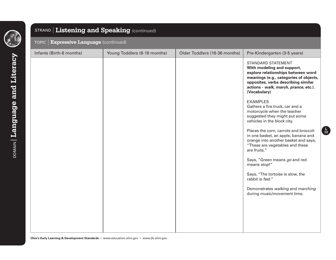

### STRAND **Listening and Speaking** (continued)

#### TOPIC **Expressive Language** (continued)

| Infants (Birth-8 months) | Young Toddlers (6-18 months) | Older Toddlers (16-36 months) | Pre-Kindergarten (3-5 years)                                                                                                                                                                                                            |
|--------------------------|------------------------------|-------------------------------|-----------------------------------------------------------------------------------------------------------------------------------------------------------------------------------------------------------------------------------------|
|                          |                              |                               | <b>STANDARD STATEMENT</b><br>With modeling and support,<br>explore relationships between word<br>meanings (e.g., categories of objects,<br>opposites, verbs describing similar<br>actions - walk, march, prance, etc.).<br>(Vocabulary) |
|                          |                              |                               | <b>EXAMPLES</b><br>Gathers a fire truck, car and a<br>motorcycle when the teacher<br>suggested they might put some<br>vehicles in the block city.                                                                                       |
|                          |                              |                               | Places the corn, carrots and broccoli<br>in one basket, an apple, banana and<br>orange into another basket and says,<br>"These are vegetables and these<br>are fruits."                                                                 |
|                          |                              |                               | Says, "Green means go and red<br>means stop!"                                                                                                                                                                                           |
|                          |                              |                               | Says, "The tortoise is slow, the<br>rabbit is fast."                                                                                                                                                                                    |
|                          |                              |                               | Demonstrates walking and marching<br>during music/movement time.                                                                                                                                                                        |
|                          |                              |                               |                                                                                                                                                                                                                                         |
|                          |                              |                               |                                                                                                                                                                                                                                         |
|                          |                              |                               |                                                                                                                                                                                                                                         |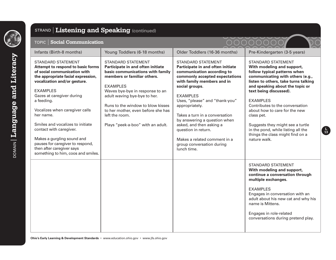

### STRAND **Listening and Speaking** (continued)

#### TOPIC **Social Communication**

# 00000000

**L 13**

 $\breve{\bullet}$ 

n di ka

| Infants (Birth-8 months)                                                                                                                                                                                                                                                                                                                                                                                                                                                              | Young Toddlers (6-18 months)                                                                                                                                                                                                                                                                                                                              | Older Toddlers (16-36 months)                                                                                                                                                                                                                                                                                                                                                                                                                          | Pre-Kindergarten (3-5 years)                                                                                                                                                                                                                                                                                                                                                                                                                                        |
|---------------------------------------------------------------------------------------------------------------------------------------------------------------------------------------------------------------------------------------------------------------------------------------------------------------------------------------------------------------------------------------------------------------------------------------------------------------------------------------|-----------------------------------------------------------------------------------------------------------------------------------------------------------------------------------------------------------------------------------------------------------------------------------------------------------------------------------------------------------|--------------------------------------------------------------------------------------------------------------------------------------------------------------------------------------------------------------------------------------------------------------------------------------------------------------------------------------------------------------------------------------------------------------------------------------------------------|---------------------------------------------------------------------------------------------------------------------------------------------------------------------------------------------------------------------------------------------------------------------------------------------------------------------------------------------------------------------------------------------------------------------------------------------------------------------|
| <b>STANDARD STATEMENT</b><br>Attempt to respond to basic forms<br>of social communication with<br>the appropriate facial expression,<br>vocalization and/or gesture.<br><b>EXAMPLES</b><br>Gazes at caregiver during<br>a feeding.<br>Vocalizes when caregiver calls<br>her name.<br>Smiles and vocalizes to initiate<br>contact with caregiver.<br>Makes a gurgling sound and<br>pauses for caregiver to respond,<br>then after caregiver says<br>something to him, coos and smiles. | <b>STANDARD STATEMENT</b><br>Participate in and often initiate<br>basic communications with family<br>members or familiar others.<br><b>EXAMPLES</b><br>Waves bye-bye in response to an<br>adult waving bye-bye to her.<br>Runs to the window to blow kisses<br>to her mother, even before she has<br>left the room.<br>Plays "peek-a-boo" with an adult. | <b>STANDARD STATEMENT</b><br>Participate in and often initiate<br>communication according to<br>commonly accepted expectations<br>with family members and in<br>social groups.<br><b>EXAMPLES</b><br>Uses, "please" and "thank-you"<br>appropriately.<br>Takes a turn in a conversation<br>by answering a question when<br>asked, and then asking a<br>question in return.<br>Makes a related comment in a<br>group conversation during<br>lunch time. | <b>STANDARD STATEMENT</b><br>With modeling and support,<br>follow typical patterns when<br>communicating with others (e.g.,<br>listen to others, take turns talking<br>and speaking about the topic or<br>text being discussed).<br><b>EXAMPLES</b><br>Contributes to the conversation<br>about how to care for the new<br>class pet.<br>Suggests they might see a turtle<br>in the pond, while listing all the<br>things the class might find on a<br>nature walk. |
|                                                                                                                                                                                                                                                                                                                                                                                                                                                                                       |                                                                                                                                                                                                                                                                                                                                                           |                                                                                                                                                                                                                                                                                                                                                                                                                                                        | <b>STANDARD STATEMENT</b><br>With modeling and support,<br>continue a conversation through<br>multiple exchanges.<br><b>EXAMPLES</b><br>Engages in conversation with an<br>adult about his new cat and why his<br>name is Mittens.<br>Engages in role-related<br>conversations during pretend play.                                                                                                                                                                 |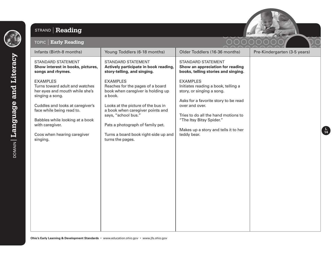

### STRAND **Reading**



**L 14**

#### TOPIC **Early Reading**

| Infants (Birth-8 months)                                                                                                                                                                                                                                                 | Young Toddlers (6-18 months)                                                                                                                                                                                                                                                                         | Older Toddlers (16-36 months)                                                                                                                                                                                                                                           | Pre-Kindergarten (3-5 years) |
|--------------------------------------------------------------------------------------------------------------------------------------------------------------------------------------------------------------------------------------------------------------------------|------------------------------------------------------------------------------------------------------------------------------------------------------------------------------------------------------------------------------------------------------------------------------------------------------|-------------------------------------------------------------------------------------------------------------------------------------------------------------------------------------------------------------------------------------------------------------------------|------------------------------|
| <b>STANDARD STATEMENT</b><br>Show interest in books, pictures,<br>songs and rhymes.                                                                                                                                                                                      | <b>STANDARD STATEMENT</b><br>Actively participate in book reading,<br>story-telling, and singing.                                                                                                                                                                                                    | <b>STANDARD STATEMENT</b><br>Show an appreciation for reading<br>books, telling stories and singing.                                                                                                                                                                    |                              |
| <b>EXAMPLES</b><br>Turns toward adult and watches<br>her eyes and mouth while she's<br>singing a song.<br>Cuddles and looks at caregiver's<br>face while being read to.<br>Babbles while looking at a book<br>with caregiver.<br>Coos when hearing caregiver<br>singing. | <b>EXAMPLES</b><br>Reaches for the pages of a board<br>book when caregiver is holding up<br>a book.<br>Looks at the picture of the bus in<br>a book when caregiver points and<br>says, "school bus."<br>Pats a photograph of family pet.<br>Turns a board book right-side up and<br>turns the pages. | <b>EXAMPLES</b><br>Initiates reading a book, telling a<br>story, or singing a song.<br>Asks for a favorite story to be read<br>over and over.<br>Tries to do all the hand motions to<br>"The Itsy Bitsy Spider."<br>Makes up a story and tells it to her<br>teddy bear. |                              |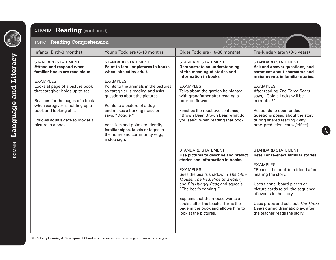

**pomany Language and Literacy** 

### STRAND **Reading** (continued)

#### TOPIC **Reading Comprehension**

| $19110$ $100000000$                                                                                                                                                                                                                                                                                                  |                                                                                                                                                                                                                                                                                                                |                                                                                                                                                                                                                                                                                                                                                                                                           |                                                                                                                                                                                                                                                                                                                                                             |
|----------------------------------------------------------------------------------------------------------------------------------------------------------------------------------------------------------------------------------------------------------------------------------------------------------------------|----------------------------------------------------------------------------------------------------------------------------------------------------------------------------------------------------------------------------------------------------------------------------------------------------------------|-----------------------------------------------------------------------------------------------------------------------------------------------------------------------------------------------------------------------------------------------------------------------------------------------------------------------------------------------------------------------------------------------------------|-------------------------------------------------------------------------------------------------------------------------------------------------------------------------------------------------------------------------------------------------------------------------------------------------------------------------------------------------------------|
| Infants (Birth-8 months)                                                                                                                                                                                                                                                                                             | Young Toddlers (6-18 months)                                                                                                                                                                                                                                                                                   | Older Toddlers (16-36 months)                                                                                                                                                                                                                                                                                                                                                                             | Pre-Kindergarten (3-5 years)                                                                                                                                                                                                                                                                                                                                |
| STANDARD STATEMENT<br><b>Attend and respond when</b><br>familiar books are read aloud.<br><b>EXAMPLES</b><br>Looks at page of a picture book<br>that caregiver holds up to see.<br>Reaches for the pages of a book<br>when caregiver is holding up a<br>book and looking at it.<br>Follows adult's gaze to look at a | <b>STANDARD STATEMENT</b><br>Point to familiar pictures in books<br>when labeled by adult.<br><b>EXAMPLES</b><br>Points to the animals in the pictures<br>as caregiver is reading and asks<br>questions about the pictures.<br>Points to a picture of a dog<br>and makes a barking noise or<br>says, "Doggie." | <b>STANDARD STATEMENT</b><br>Demonstrate an understanding<br>of the meaning of stories and<br>information in books.<br><b>EXAMPLES</b><br>Talks about the garden he planted<br>with grandfather after reading a<br>book on flowers.<br>Finishes the repetitive sentence,<br>"Brown Bear, Brown Bear, what do<br>you see?" when reading that book.                                                         | <b>STANDARD STATEMENT</b><br>Ask and answer questions, and<br>comment about characters and<br>major events in familiar stories.<br><b>EXAMPLES</b><br>After reading The Three Bears<br>says, "Goldie Locks will be<br>in trouble!"<br>Responds to open-ended<br>questions posed about the story<br>during shared reading (why,                              |
| picture in a book.                                                                                                                                                                                                                                                                                                   | Vocalizes and points to identify<br>familiar signs, labels or logos in<br>the home and community (e.g.,<br>a stop sign.                                                                                                                                                                                        |                                                                                                                                                                                                                                                                                                                                                                                                           | how, prediction, cause/effect).                                                                                                                                                                                                                                                                                                                             |
|                                                                                                                                                                                                                                                                                                                      |                                                                                                                                                                                                                                                                                                                | <b>STANDARD STATEMENT</b><br>Use pictures to describe and predict<br>stories and information in books.<br><b>EXAMPLES</b><br>Sees the bear's shadow in The Little<br>Mouse, The Red, Ripe Strawberry<br>and Big Hungry Bear, and squeals,<br>"The bear's coming!"<br>Explains that the mouse wants a<br>cookie after the teacher turns the<br>page in the book and allows him to<br>look at the pictures. | <b>STANDARD STATEMENT</b><br>Retell or re-enact familiar stories.<br><b>EXAMPLES</b><br>"Reads" the book to a friend after<br>hearing the story.<br>Uses flannel-board pieces or<br>picture cards to tell the sequence<br>of events in the story.<br>Uses props and acts out The Three<br>Bears during dramatic play, after<br>the teacher reads the story. |



**L 15**

 $\sum$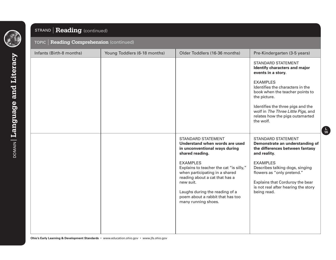

### STRAND **Reading** (continued)

#### TOPIC **Reading Comprehension** (continued)

| Infants (Birth-8 months) | Young Toddlers (6-18 months) | Older Toddlers (16-36 months)                                                                                                                                                                                                            | Pre-Kindergarten (3-5 years)                                                                                                                                              |
|--------------------------|------------------------------|------------------------------------------------------------------------------------------------------------------------------------------------------------------------------------------------------------------------------------------|---------------------------------------------------------------------------------------------------------------------------------------------------------------------------|
|                          |                              |                                                                                                                                                                                                                                          | <b>STANDARD STATEMENT</b><br>Identify characters and major<br>events in a story.                                                                                          |
|                          |                              |                                                                                                                                                                                                                                          | <b>EXAMPLES</b><br>Identifies the characters in the<br>book when the teacher points to<br>the picture.                                                                    |
|                          |                              |                                                                                                                                                                                                                                          | Identifies the three pigs and the<br>wolf in The Three Little Pigs, and<br>relates how the pigs outsmarted<br>the wolf.                                                   |
|                          |                              | <b>STANDARD STATEMENT</b><br>Understand when words are used<br>in unconventional ways during<br>shared reading.                                                                                                                          | <b>STANDARD STATEMENT</b><br>Demonstrate an understanding of<br>the differences between fantasy<br>and reality.                                                           |
|                          |                              | <b>EXAMPLES</b><br>Explains to teacher the cat "is silly,"<br>when participating in a shared<br>reading about a cat that has a<br>new suit.<br>Laughs during the reading of a<br>poem about a rabbit that has too<br>many running shoes. | <b>EXAMPLES</b><br>Describes talking dogs, singing<br>flowers as "only pretend."<br>Explains that Corduroy the bear<br>is not real after hearing the story<br>being read. |
|                          |                              |                                                                                                                                                                                                                                          |                                                                                                                                                                           |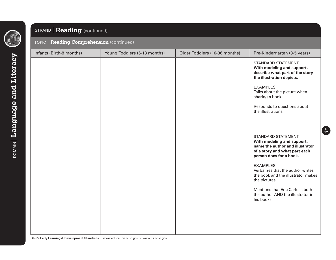

### STRAND **Reading** (continued)

#### TOPIC **Reading Comprehension** (continued)

| Infants (Birth-8 months) | Young Toddlers (6-18 months) | Older Toddlers (16-36 months) | Pre-Kindergarten (3-5 years)                                                                                                                                                                                                                                                                                                                                 |
|--------------------------|------------------------------|-------------------------------|--------------------------------------------------------------------------------------------------------------------------------------------------------------------------------------------------------------------------------------------------------------------------------------------------------------------------------------------------------------|
|                          |                              |                               | STANDARD STATEMENT<br>With modeling and support,<br>describe what part of the story<br>the illustration depicts.<br><b>EXAMPLES</b><br>Talks about the picture when<br>sharing a book.<br>Responds to questions about<br>the illustrations.                                                                                                                  |
|                          |                              |                               | <b>STANDARD STATEMENT</b><br>With modeling and support,<br>name the author and illustrator<br>of a story and what part each<br>person does for a book.<br><b>EXAMPLES</b><br>Verbalizes that the author writes<br>the book and the illustrator makes<br>the pictures.<br>Mentions that Eric Carle is both<br>the author AND the illustrator in<br>his books. |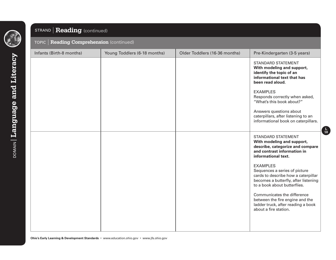

### STRAND **Reading** (continued)

#### TOPIC **Reading Comprehension** (continued)

| Infants (Birth-8 months) | Young Toddlers (6-18 months) | Older Toddlers (16-36 months) | Pre-Kindergarten (3-5 years)                                                                                                                                                                                                                                                                                                                                                                                                                          |
|--------------------------|------------------------------|-------------------------------|-------------------------------------------------------------------------------------------------------------------------------------------------------------------------------------------------------------------------------------------------------------------------------------------------------------------------------------------------------------------------------------------------------------------------------------------------------|
|                          |                              |                               | <b>STANDARD STATEMENT</b><br>With modeling and support,<br>identify the topic of an<br>informational text that has<br>been read aloud.<br><b>EXAMPLES</b><br>Responds correctly when asked,<br>"What's this book about?"<br>Answers questions about<br>caterpillars, after listening to an<br>informational book on caterpillars.                                                                                                                     |
|                          |                              |                               | <b>STANDARD STATEMENT</b><br>With modeling and support,<br>describe, categorize and compare<br>and contrast information in<br>informational text.<br><b>EXAMPLES</b><br>Sequences a series of picture<br>cards to describe how a caterpillar<br>becomes a butterfly, after listening<br>to a book about butterflies.<br>Communicates the difference<br>between the fire engine and the<br>ladder truck, after reading a book<br>about a fire station. |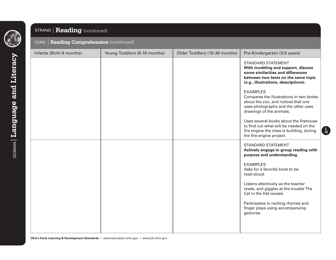

### STRAND **Reading** (continued)

#### TOPIC **Reading Comprehension** (continued)

| Infants (Birth-8 months) | Young Toddlers (6-18 months) | Older Toddlers (16-36 months) | Pre-Kindergarten (3-5 years)                                                                                                                                                                                                                                                                                                    |
|--------------------------|------------------------------|-------------------------------|---------------------------------------------------------------------------------------------------------------------------------------------------------------------------------------------------------------------------------------------------------------------------------------------------------------------------------|
|                          |                              |                               | <b>STANDARD STATEMENT</b><br>With modeling and support, discuss<br>some similarities and differences<br>between two texts on the same topic<br>(e.g., illustrations, descriptions).<br><b>EXAMPLES</b><br>Compares the illustrations in two books<br>about the zoo, and notices that one<br>uses photographs and the other uses |
|                          |                              |                               | drawings of the animals.<br>Uses several books about the firehouse<br>to find out what will be needed on the<br>fire engine the class is building, during<br>the fire engine project.                                                                                                                                           |
|                          |                              |                               | <b>STANDARD STATEMENT</b><br>Actively engage in group reading with<br>purpose and understanding.                                                                                                                                                                                                                                |
|                          |                              |                               | <b>EXAMPLES</b><br>Asks for a favorite book to be<br>read aloud.                                                                                                                                                                                                                                                                |
|                          |                              |                               | Listens attentively as the teacher<br>reads, and giggles at the trouble The<br>Cat in the Hat causes.                                                                                                                                                                                                                           |
|                          |                              |                               | Participates in reciting rhymes and<br>finger plays using accompanying<br>gestures.                                                                                                                                                                                                                                             |
|                          |                              |                               |                                                                                                                                                                                                                                                                                                                                 |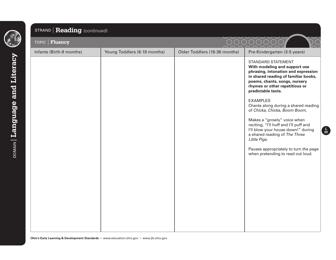

### STRAND **Reading** (continued)

| TOPIC   Fluency          |                              |                               |                                                                                                                                                                                                                                    |
|--------------------------|------------------------------|-------------------------------|------------------------------------------------------------------------------------------------------------------------------------------------------------------------------------------------------------------------------------|
| Infants (Birth-8 months) | Young Toddlers (6-18 months) | Older Toddlers (16-36 months) | Pre-Kindergarten (3-5 years)                                                                                                                                                                                                       |
|                          |                              |                               | <b>STANDARD STATEMENT</b><br>With modeling and support use<br>phrasing, intonation and expression<br>in shared reading of familiar books,<br>poems, chants, songs, nursery<br>rhymes or other repetitious or<br>predictable texts. |
|                          |                              |                               | <b>EXAMPLES</b><br>Chants along during a shared reading<br>of Chicka, Chicka, Boom Boom.                                                                                                                                           |
|                          |                              |                               | Makes a "growly" voice when<br>reciting, "I'll huff and I'll puff and<br>I'll blow your house down!" during<br>a shared reading of The Three<br>Little Pigs.                                                                       |
|                          |                              |                               | Pauses appropriately to turn the page<br>when pretending to read out loud.                                                                                                                                                         |
|                          |                              |                               |                                                                                                                                                                                                                                    |
|                          |                              |                               |                                                                                                                                                                                                                                    |
|                          |                              |                               |                                                                                                                                                                                                                                    |
|                          |                              |                               |                                                                                                                                                                                                                                    |
|                          |                              |                               |                                                                                                                                                                                                                                    |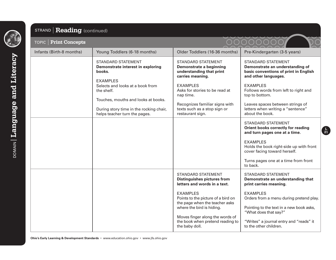**pomany Language and Literacy** DOMAIN **Language and Literacy**

### STRAND **Reading** (continued)

| <b>TOPIC   Print Concepts</b> |                                                                                             |                                                                                                             |                                                                                                                               |
|-------------------------------|---------------------------------------------------------------------------------------------|-------------------------------------------------------------------------------------------------------------|-------------------------------------------------------------------------------------------------------------------------------|
| Infants (Birth-8 months)      | Young Toddlers (6-18 months)                                                                | Older Toddlers (16-36 months)                                                                               | Pre-Kindergarten (3-5 years)                                                                                                  |
|                               | <b>STANDARD STATEMENT</b><br>Demonstrate interest in exploring<br>books.<br><b>EXAMPLES</b> | <b>STANDARD STATEMENT</b><br><b>Demonstrate a beginning</b><br>understanding that print<br>carries meaning. | <b>STANDARD STATEMENT</b><br>Demonstrate an understanding of<br>basic conventions of print in English<br>and other languages. |
|                               | Selects and looks at a book from<br>the shelf.<br>Touches, mouths and looks at books.       | <b>EXAMPLES</b><br>Asks for stories to be read at<br>nap time.                                              | <b>EXAMPLES</b><br>Follows words from left to right and<br>top to bottom.                                                     |
|                               | During story time in the rocking chair,<br>helps teacher turn the pages.                    | Recognizes familiar signs with<br>texts such as a stop sign or<br>restaurant sign.                          | Leaves spaces between strings of<br>letters when writing a "sentence"<br>about the book.                                      |
|                               |                                                                                             |                                                                                                             | <b>STANDARD STATEMENT</b><br>Orient books correctly for reading<br>and turn pages one at a time.                              |
|                               |                                                                                             |                                                                                                             | <b>EXAMPLES</b><br>Holds the book right-side up with front<br>cover facing toward herself.                                    |
|                               |                                                                                             |                                                                                                             | Turns pages one at a time from front<br>to back.                                                                              |
|                               |                                                                                             | <b>STANDARD STATEMENT</b><br><b>Distinguishes pictures from</b><br>letters and words in a text.             | <b>STANDARD STATEMENT</b><br>Demonstrate an understanding that<br>print carries meaning.                                      |
|                               |                                                                                             | <b>EXAMPLES</b><br>Points to the picture of a bird on<br>the page when the teacher asks                     | <b>EXAMPLES</b><br>Orders from a menu during pretend play.                                                                    |
|                               |                                                                                             | where the bird is hiding.                                                                                   | Pointing to the text in a new book asks,<br>"What does that say?"                                                             |
|                               |                                                                                             | Moves finger along the words of<br>the book when pretend reading to<br>the baby doll.                       | "Writes" a journal entry and "reads" it<br>to the other children.                                                             |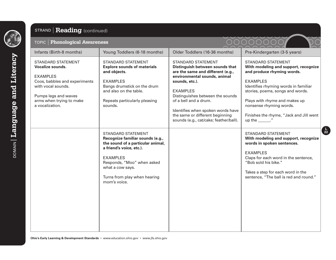

### STRAND **Reading** (continued)

#### TOPIC **Phonological Awareness**

| TOPIC   Phonological Awareness                                                                                                                                                                 |                                                                                                                                                                                                                                                     |                                                                                                                                                                                                                                                                                                                                                       |                                                                                                                                                                                                                                                                                                                              |
|------------------------------------------------------------------------------------------------------------------------------------------------------------------------------------------------|-----------------------------------------------------------------------------------------------------------------------------------------------------------------------------------------------------------------------------------------------------|-------------------------------------------------------------------------------------------------------------------------------------------------------------------------------------------------------------------------------------------------------------------------------------------------------------------------------------------------------|------------------------------------------------------------------------------------------------------------------------------------------------------------------------------------------------------------------------------------------------------------------------------------------------------------------------------|
| Infants (Birth-8 months)                                                                                                                                                                       | Young Toddlers (6-18 months)                                                                                                                                                                                                                        | Older Toddlers (16-36 months)                                                                                                                                                                                                                                                                                                                         | Pre-Kindergarten (3-5 years)                                                                                                                                                                                                                                                                                                 |
| STANDARD STATEMENT<br><b>Vocalize sounds.</b><br><b>EXAMPLES</b><br>Coos, babbles and experiments<br>with vocal sounds.<br>Pumps legs and waves<br>arms when trying to make<br>a vocalization. | <b>STANDARD STATEMENT</b><br><b>Explore sounds of materials</b><br>and objects.<br><b>EXAMPLES</b><br>Bangs drumstick on the drum<br>and also on the table.<br>Repeats particularly pleasing<br>sounds.                                             | <b>STANDARD STATEMENT</b><br>Distinguish between sounds that<br>are the same and different (e.g.,<br>environmental sounds, animal<br>sounds, etc.).<br><b>EXAMPLES</b><br>Distinguishes between the sounds<br>of a bell and a drum.<br>Identifies when spoken words have<br>the same or different beginning<br>sounds (e.g., cat/cake; feather/ball). | <b>STANDARD STATEMENT</b><br>With modeling and support, recognize<br>and produce rhyming words.<br><b>EXAMPLES</b><br>Identifies rhyming words in familiar<br>stories, poems, songs and words.<br>Plays with rhyme and makes up<br>nonsense rhyming words.<br>Finishes the rhyme, "Jack and Jill went<br>$up$ the $\qquad$ . |
|                                                                                                                                                                                                | <b>STANDARD STATEMENT</b><br>Recognize familiar sounds (e.g.,<br>the sound of a particular animal,<br>a friend's voice, etc.).<br><b>EXAMPLES</b><br>Responds, "Moo" when asked<br>what a cow says.<br>Turns from play when hearing<br>mom's voice. |                                                                                                                                                                                                                                                                                                                                                       | <b>STANDARD STATEMENT</b><br>With modeling and support, recognize<br>words in spoken sentences.<br><b>EXAMPLES</b><br>Claps for each word in the sentence,<br>"Bob sold his bike."<br>Takes a step for each word in the<br>sentence, "The ball is red and round."                                                            |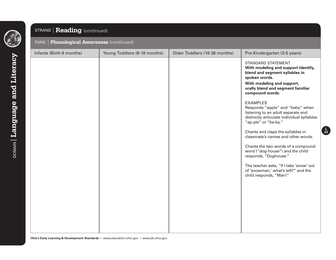

### STRAND **Reading** (continued)

#### TOPIC **Phonological Awareness** (continued)

| Infants (Birth-8 months) | Young Toddlers (6-18 months) | Older Toddlers (16-36 months) | Pre-Kindergarten (3-5 years)                                                                                                                                                                                                                                                                                                                                                                                                                                                                                                                                                                                                                                           |
|--------------------------|------------------------------|-------------------------------|------------------------------------------------------------------------------------------------------------------------------------------------------------------------------------------------------------------------------------------------------------------------------------------------------------------------------------------------------------------------------------------------------------------------------------------------------------------------------------------------------------------------------------------------------------------------------------------------------------------------------------------------------------------------|
|                          |                              |                               | <b>STANDARD STATEMENT</b><br>With modeling and support identify,<br>blend and segment syllables in<br>spoken words.<br>With modeling and support,<br>orally blend and segment familiar<br>compound words.<br><b>EXAMPLES</b><br>Responds "apple" and "baby" when<br>listening to an adult separate and<br>distinctly articulate individual syllables<br>"ap-ple" or "ba-by."<br>Chants and claps the syllables in<br>classmate's names and other words.<br>Chants the two words of a compound<br>word ("dog-house") and the child<br>responds, "Doghouse."<br>The teacher asks, "If I take 'snow' out<br>of 'snowman,' what's left?" and the<br>child responds, "Man!" |
|                          |                              |                               |                                                                                                                                                                                                                                                                                                                                                                                                                                                                                                                                                                                                                                                                        |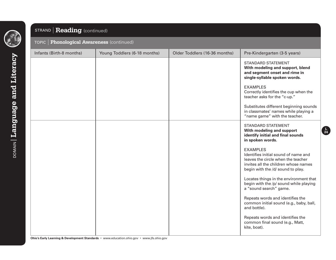

### STRAND **Reading** (continued)

#### TOPIC **Phonological Awareness** (continued)

| Infants (Birth-8 months) | Young Toddlers (6-18 months) | Older Toddlers (16-36 months) | Pre-Kindergarten (3-5 years)                                                                                                                                               |
|--------------------------|------------------------------|-------------------------------|----------------------------------------------------------------------------------------------------------------------------------------------------------------------------|
|                          |                              |                               | <b>STANDARD STATEMENT</b><br>With modeling and support, blend<br>and segment onset and rime in<br>single-syllable spoken words.                                            |
|                          |                              |                               | <b>EXAMPLES</b><br>Correctly identifies the cup when the<br>teacher asks for the "c-up."                                                                                   |
|                          |                              |                               | Substitutes different beginning sounds<br>in classmates' names while playing a<br>"name game" with the teacher.                                                            |
|                          |                              |                               | <b>STANDARD STATEMENT</b><br>With modeling and support<br>identify initial and final sounds<br>in spoken words.                                                            |
|                          |                              |                               | <b>EXAMPLES</b><br>Identifies initial sound of name and<br>leaves the circle when the teacher<br>invites all the children whose names<br>begin with the /d/ sound to play. |
|                          |                              |                               | Locates things in the environment that<br>begin with the /p/ sound while playing<br>a "sound search" game.                                                                 |
|                          |                              |                               | Repeats words and identifies the<br>common initial sound (e.g., baby, ball,<br>and bottle).                                                                                |
|                          |                              |                               | Repeats words and identifies the<br>common final sound (e.g., Matt,<br>kite, boat).                                                                                        |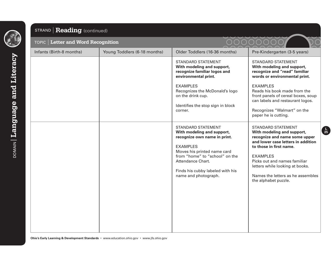

### STRAND **Reading** (continued)

| TOPIC   Letter and Word Recognition |                              |                                                                                                                                                                                                                                                              |                                                                                                                                                                                                                                                                                                               |
|-------------------------------------|------------------------------|--------------------------------------------------------------------------------------------------------------------------------------------------------------------------------------------------------------------------------------------------------------|---------------------------------------------------------------------------------------------------------------------------------------------------------------------------------------------------------------------------------------------------------------------------------------------------------------|
| Infants (Birth-8 months)            | Young Toddlers (6-18 months) | Older Toddlers (16-36 months)                                                                                                                                                                                                                                | Pre-Kindergarten (3-5 years)                                                                                                                                                                                                                                                                                  |
|                                     |                              | <b>STANDARD STATEMENT</b><br>With modeling and support,<br>recognize familiar logos and<br>environmental print.<br><b>EXAMPLES</b><br>Recognizes the McDonald's logo<br>on the drink cup.<br>Identifies the stop sign in block<br>corner.                    | <b>STANDARD STATEMENT</b><br>With modeling and support,<br>recognize and "read" familiar<br>words or environmental print.<br><b>EXAMPLES</b><br>Reads his book made from the<br>front panels of cereal boxes, soup<br>can labels and restaurant logos.<br>Recognizes "Walmart" on the<br>paper he is cutting. |
|                                     |                              | <b>STANDARD STATEMENT</b><br>With modeling and support,<br>recognize own name in print.<br><b>EXAMPLES</b><br>Moves his printed name card<br>from "home" to "school" on the<br>Attendance Chart.<br>Finds his cubby labeled with his<br>name and photograph. | <b>STANDARD STATEMENT</b><br>With modeling and support,<br>recognize and name some upper<br>and lower case letters in addition<br>to those in first name.<br><b>EXAMPLES</b><br>Picks out and names familiar<br>letters while looking at books.<br>Names the letters as he assembles<br>the alphabet puzzle.  |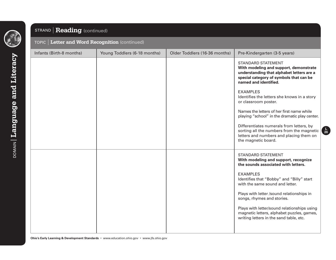

### STRAND **Reading** (continued)

|  |  |  | TOPIC   Letter and Word Recognition (continued) <sub>{</sub> |  |
|--|--|--|--------------------------------------------------------------|--|
|--|--|--|--------------------------------------------------------------|--|

| Infants (Birth-8 months) | Young Toddlers (6-18 months) | Older Toddlers (16-36 months) | Pre-Kindergarten (3-5 years)                                                                                                                                                         |
|--------------------------|------------------------------|-------------------------------|--------------------------------------------------------------------------------------------------------------------------------------------------------------------------------------|
|                          |                              |                               | <b>STANDARD STATEMENT</b><br>With modeling and support, demonstrate<br>understanding that alphabet letters are a<br>special category of symbols that can be<br>named and identified. |
|                          |                              |                               | <b>EXAMPLES</b><br>Identifies the letters she knows in a story<br>or classroom poster.                                                                                               |
|                          |                              |                               | Names the letters of her first name while<br>playing "school" in the dramatic play center.                                                                                           |
|                          |                              |                               | Differentiates numerals from letters, by<br>sorting all the numbers from the magnetic<br>letters and numbers and placing them on<br>the magnetic board.                              |
|                          |                              |                               | <b>STANDARD STATEMENT</b><br>With modeling and support, recognize<br>the sounds associated with letters.                                                                             |
|                          |                              |                               | <b>EXAMPLES</b><br>Identifies that "Bobby" and "Billy" start<br>with the same sound and letter.                                                                                      |
|                          |                              |                               | Plays with letter /sound relationships in<br>songs, rhymes and stories.                                                                                                              |
|                          |                              |                               | Plays with letter/sound relationships using<br>magnetic letters, alphabet puzzles, games,<br>writing letters in the sand table, etc.                                                 |
|                          |                              |                               |                                                                                                                                                                                      |

**L 26**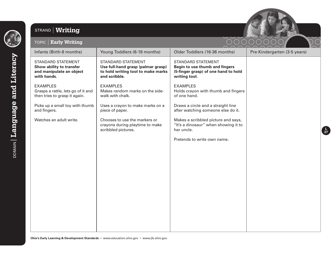

### STRAND **Writing**



| <b>Early Writing</b><br>TOPIC                                                                    |                                                                                                                        |                                                                                                                      |                              |
|--------------------------------------------------------------------------------------------------|------------------------------------------------------------------------------------------------------------------------|----------------------------------------------------------------------------------------------------------------------|------------------------------|
| Infants (Birth-8 months)                                                                         | Young Toddlers (6-18 months)                                                                                           | Older Toddlers (16-36 months)                                                                                        | Pre-Kindergarten (3-5 years) |
| <b>STANDARD STATEMENT</b><br>Show ability to transfer<br>and manipulate an object<br>with hands. | <b>STANDARD STATEMENT</b><br>Use full-hand grasp (palmar grasp)<br>to hold writing tool to make marks<br>and scribble. | <b>STANDARD STATEMENT</b><br>Begin to use thumb and fingers<br>(5-finger grasp) of one hand to hold<br>writing tool. |                              |
| <b>EXAMPLES</b><br>Grasps a rattle, lets go of it and<br>then tries to grasp it again.           | <b>EXAMPLES</b><br>Makes random marks on the side-<br>walk with chalk.                                                 | <b>EXAMPLES</b><br>Holds crayon with thumb and fingers<br>of one hand.                                               |                              |
| Picks up a small toy with thumb<br>and fingers.                                                  | Uses a crayon to make marks on a<br>piece of paper.                                                                    | Draws a circle and a straight line<br>after watching someone else do it.                                             |                              |
| Watches an adult write.                                                                          | Chooses to use the markers or<br>crayons during playtime to make<br>scribbled pictures.                                | Makes a scribbled picture and says,<br>"It's a dinosaur" when showing it to<br>her uncle.                            |                              |
|                                                                                                  |                                                                                                                        | Pretends to write own name.                                                                                          |                              |
|                                                                                                  |                                                                                                                        |                                                                                                                      |                              |
|                                                                                                  |                                                                                                                        |                                                                                                                      |                              |
|                                                                                                  |                                                                                                                        |                                                                                                                      |                              |
|                                                                                                  |                                                                                                                        |                                                                                                                      |                              |
|                                                                                                  |                                                                                                                        |                                                                                                                      |                              |
|                                                                                                  |                                                                                                                        |                                                                                                                      |                              |
|                                                                                                  |                                                                                                                        |                                                                                                                      |                              |
|                                                                                                  |                                                                                                                        |                                                                                                                      |                              |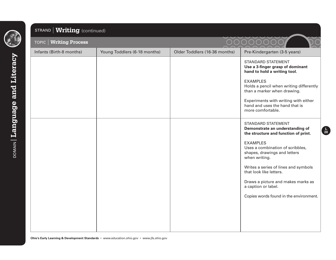

## STRAND **Writing** (continued)

| <b>Writing Process</b><br>TOPIC |                              |                               | $\bigcap$                                                                                            |
|---------------------------------|------------------------------|-------------------------------|------------------------------------------------------------------------------------------------------|
| Infants (Birth-8 months)        | Young Toddlers (6-18 months) | Older Toddlers (16-36 months) | Pre-Kindergarten (3-5 years)                                                                         |
|                                 |                              |                               | <b>STANDARD STATEMENT</b><br>Use a 3-finger grasp of dominant<br>hand to hold a writing tool.        |
|                                 |                              |                               | <b>EXAMPLES</b><br>Holds a pencil when writing differently<br>than a marker when drawing.            |
|                                 |                              |                               | Experiments with writing with either<br>hand and uses the hand that is<br>more comfortable.          |
|                                 |                              |                               | <b>STANDARD STATEMENT</b><br>Demonstrate an understanding of<br>the structure and function of print. |
|                                 |                              |                               | <b>EXAMPLES</b><br>Uses a combination of scribbles,<br>shapes, drawings and letters<br>when writing. |
|                                 |                              |                               | Writes a series of lines and symbols<br>that look like letters.                                      |
|                                 |                              |                               | Draws a picture and makes marks as<br>a caption or label.                                            |
|                                 |                              |                               | Copies words found in the environment.                                                               |
|                                 |                              |                               |                                                                                                      |
|                                 |                              |                               |                                                                                                      |
|                                 |                              |                               |                                                                                                      |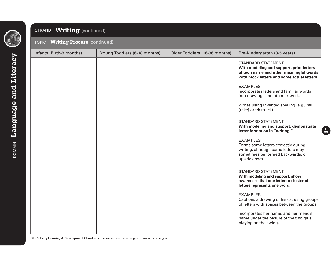

### STRAND **Writing** (continued)

#### TOPIC **Writing Process** (continued)

| Infants (Birth-8 months) | Young Toddlers (6-18 months) | Older Toddlers (16-36 months) | Pre-Kindergarten (3-5 years)                                                                                                                                                                                                                                                                                                                                          |
|--------------------------|------------------------------|-------------------------------|-----------------------------------------------------------------------------------------------------------------------------------------------------------------------------------------------------------------------------------------------------------------------------------------------------------------------------------------------------------------------|
|                          |                              |                               | <b>STANDARD STATEMENT</b><br>With modeling and support, print letters<br>of own name and other meaningful words<br>with mock letters and some actual letters.<br><b>EXAMPLES</b><br>Incorporates letters and familiar words<br>into drawings and other artwork.<br>Writes using invented spelling (e.g., rak<br>(rake) or trk (truck).                                |
|                          |                              |                               | <b>STANDARD STATEMENT</b><br>With modeling and support, demonstrate<br>letter formation in "writing."<br><b>EXAMPLES</b><br>Forms some letters correctly during<br>writing, although some letters may<br>sometimes be formed backwards, or<br>upside down.                                                                                                            |
|                          |                              |                               | <b>STANDARD STATEMENT</b><br>With modeling and support, show<br>awareness that one letter or cluster of<br>letters represents one word.<br><b>EXAMPLES</b><br>Captions a drawing of his cat using groups<br>of letters with spaces between the groups.<br>Incorporates her name, and her friend's<br>name under the picture of the two girls<br>playing on the swing. |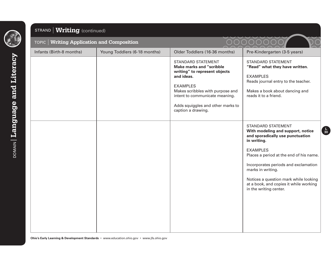

### STRAND **Writing** (continued)

| TOPIC   Writing Application and Composition |                              |                                                                                                                                                                                                                                                                 |                                                                                                                                                                                                                                                                                                                                                           |
|---------------------------------------------|------------------------------|-----------------------------------------------------------------------------------------------------------------------------------------------------------------------------------------------------------------------------------------------------------------|-----------------------------------------------------------------------------------------------------------------------------------------------------------------------------------------------------------------------------------------------------------------------------------------------------------------------------------------------------------|
| Infants (Birth-8 months)                    | Young Toddlers (6-18 months) | Older Toddlers (16-36 months)                                                                                                                                                                                                                                   | Pre-Kindergarten (3-5 years)                                                                                                                                                                                                                                                                                                                              |
|                                             |                              | <b>STANDARD STATEMENT</b><br><b>Make marks and "scribble</b><br>writing" to represent objects<br>and ideas.<br><b>EXAMPLES</b><br>Makes scribbles with purpose and<br>intent to communicate meaning.<br>Adds squiggles and other marks to<br>caption a drawing. | <b>STANDARD STATEMENT</b><br>"Read" what they have written.<br><b>EXAMPLES</b><br>Reads journal entry to the teacher.<br>Makes a book about dancing and<br>reads it to a friend.                                                                                                                                                                          |
|                                             |                              |                                                                                                                                                                                                                                                                 | <b>STANDARD STATEMENT</b><br>With modeling and support, notice<br>and sporadically use punctuation<br>in writing.<br><b>EXAMPLES</b><br>Places a period at the end of his name.<br>Incorporates periods and exclamation<br>marks in writing.<br>Notices a question mark while looking<br>at a book, and copies it while working<br>in the writing center. |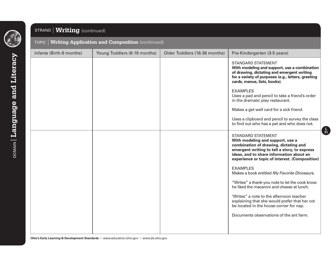

### STRAND **Writing** (continued)

#### TOPIC **Writing Application and Composition** (continued)

| Infants (Birth-8 months) | Young Toddlers (6-18 months) | Older Toddlers (16-36 months) | Pre-Kindergarten (3-5 years)                                                                                                                                                                                                                         |
|--------------------------|------------------------------|-------------------------------|------------------------------------------------------------------------------------------------------------------------------------------------------------------------------------------------------------------------------------------------------|
|                          |                              |                               | <b>STANDARD STATEMENT</b><br>With modeling and support, use a combination<br>of drawing, dictating and emergent writing                                                                                                                              |
|                          |                              |                               | for a variety of purposes (e.g., letters, greeting<br>cards, menus, lists, books).                                                                                                                                                                   |
|                          |                              |                               | <b>EXAMPLES</b><br>Uses a pad and pencil to take a friend's order<br>in the dramatic play restaurant.                                                                                                                                                |
|                          |                              |                               | Makes a get well card for a sick friend.                                                                                                                                                                                                             |
|                          |                              |                               | Uses a clipboard and pencil to survey the class<br>to find out who has a pet and who does not.                                                                                                                                                       |
|                          |                              |                               | <b>STANDARD STATEMENT</b><br>With modeling and support, use a<br>combination of drawing, dictating and<br>emergent writing to tell a story, to express<br>ideas, and to share information about an<br>experience or topic of interest. (Composition) |
|                          |                              |                               | <b>EXAMPLES</b><br>Makes a book entitled My Favorite Dinosaurs.                                                                                                                                                                                      |
|                          |                              |                               | "Writes" a thank-you note to let the cook know<br>he liked the macaroni and cheese at lunch.                                                                                                                                                         |
|                          |                              |                               | 'Writes" a note to the afternoon teacher<br>explaining that she would prefer that her cot<br>be located in the house corner for nap.                                                                                                                 |
|                          |                              |                               | Documents observations of the ant farm.                                                                                                                                                                                                              |
|                          |                              |                               |                                                                                                                                                                                                                                                      |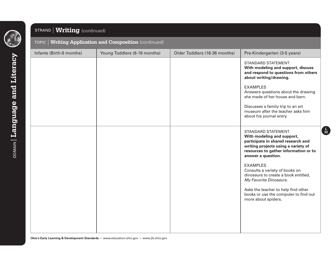

### STRAND **Writing** (continued)

#### TOPIC **Writing Application and Composition** (continued)

| Infants (Birth-8 months) | Young Toddlers (6-18 months) | Older Toddlers (16-36 months) | Pre-Kindergarten (3-5 years)                                                                                                                                                                                                                                                                                                                                                                                                      |
|--------------------------|------------------------------|-------------------------------|-----------------------------------------------------------------------------------------------------------------------------------------------------------------------------------------------------------------------------------------------------------------------------------------------------------------------------------------------------------------------------------------------------------------------------------|
|                          |                              |                               | <b>STANDARD STATEMENT</b><br>With modeling and support, discuss<br>and respond to questions from others<br>about writing/drawing.<br><b>EXAMPLES</b><br>Answers questions about the drawing<br>she made of her house and barn.<br>Discusses a family trip to an art<br>museum after the teacher asks him<br>about his journal entry.                                                                                              |
|                          |                              |                               | <b>STANDARD STATEMENT</b><br>With modeling and support,<br>participate in shared research and<br>writing projects using a variety of<br>resources to gather information or to<br>answer a question.<br><b>EXAMPLES</b><br>Consults a variety of books on<br>dinosaurs to create a book entitled,<br>My Favorite Dinosaurs.<br>Asks the teacher to help find other<br>books or use the computer to find out<br>more about spiders. |